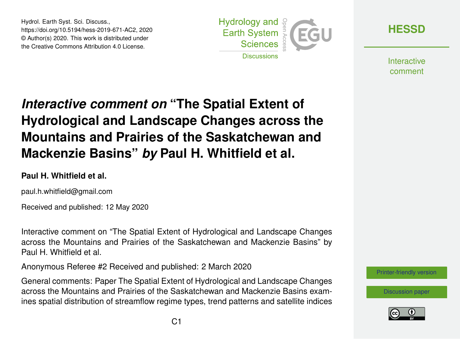Hydrol. Earth Syst. Sci. Discuss., https://doi.org/10.5194/hess-2019-671-AC2, 2020 © Author(s) 2020. This work is distributed under the Creative Commons Attribution 4.0 License.



**[HESSD](https://www.hydrol-earth-syst-sci-discuss.net/)**

**Interactive** comment

# *Interactive comment on* **"The Spatial Extent of Hydrological and Landscape Changes across the Mountains and Prairies of the Saskatchewan and Mackenzie Basins"** *by* **Paul H. Whitfield et al.**

#### **Paul H. Whitfield et al.**

paul.h.whitfield@gmail.com

Received and published: 12 May 2020

Interactive comment on "The Spatial Extent of Hydrological and Landscape Changes across the Mountains and Prairies of the Saskatchewan and Mackenzie Basins" by Paul H. Whitfield et al.

Anonymous Referee #2 Received and published: 2 March 2020

General comments: Paper The Spatial Extent of Hydrological and Landscape Changes across the Mountains and Prairies of the Saskatchewan and Mackenzie Basins examines spatial distribution of streamflow regime types, trend patterns and satellite indices



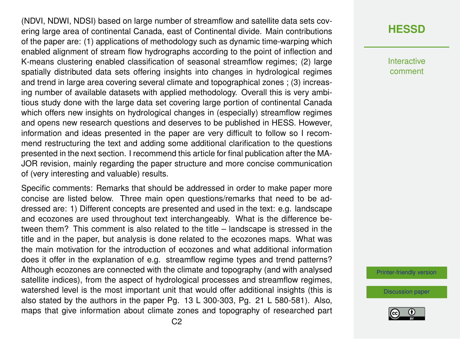(NDVI, NDWI, NDSI) based on large number of streamflow and satellite data sets covering large area of continental Canada, east of Continental divide. Main contributions of the paper are: (1) applications of methodology such as dynamic time-warping which enabled alignment of stream flow hydrographs according to the point of inflection and K-means clustering enabled classification of seasonal streamflow regimes; (2) large spatially distributed data sets offering insights into changes in hydrological regimes and trend in large area covering several climate and topographical zones ; (3) increasing number of available datasets with applied methodology. Overall this is very ambitious study done with the large data set covering large portion of continental Canada which offers new insights on hydrological changes in (especially) streamflow regimes and opens new research questions and deserves to be published in HESS. However, information and ideas presented in the paper are very difficult to follow so I recommend restructuring the text and adding some additional clarification to the questions presented in the next section. I recommend this article for final publication after the MA-JOR revision, mainly regarding the paper structure and more concise communication of (very interesting and valuable) results.

Specific comments: Remarks that should be addressed in order to make paper more concise are listed below. Three main open questions/remarks that need to be addressed are: 1) Different concepts are presented and used in the text: e.g. landscape and ecozones are used throughout text interchangeably. What is the difference between them? This comment is also related to the title – landscape is stressed in the title and in the paper, but analysis is done related to the ecozones maps. What was the main motivation for the introduction of ecozones and what additional information does it offer in the explanation of e.g. streamflow regime types and trend patterns? Although ecozones are connected with the climate and topography (and with analysed satellite indices), from the aspect of hydrological processes and streamflow regimes, watershed level is the most important unit that would offer additional insights (this is also stated by the authors in the paper Pg. 13 L 300-303, Pg. 21 L 580-581). Also, maps that give information about climate zones and topography of researched part

# **[HESSD](https://www.hydrol-earth-syst-sci-discuss.net/)**

**Interactive** comment

[Printer-friendly version](https://www.hydrol-earth-syst-sci-discuss.net/hess-2019-671/hess-2019-671-AC2-print.pdf)

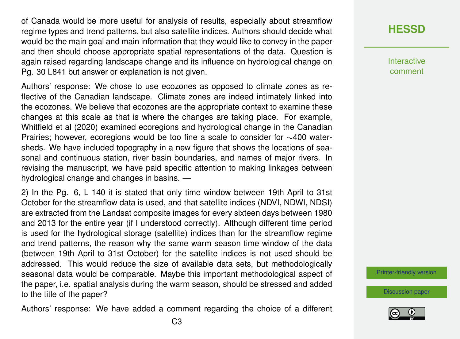of Canada would be more useful for analysis of results, especially about streamflow regime types and trend patterns, but also satellite indices. Authors should decide what would be the main goal and main information that they would like to convey in the paper and then should choose appropriate spatial representations of the data. Question is again raised regarding landscape change and its influence on hydrological change on Pg. 30 L841 but answer or explanation is not given.

Authors' response: We chose to use ecozones as opposed to climate zones as reflective of the Canadian landscape. Climate zones are indeed intimately linked into the ecozones. We believe that ecozones are the appropriate context to examine these changes at this scale as that is where the changes are taking place. For example, Whitfield et al (2020) examined ecoregions and hydrological change in the Canadian Prairies; however, ecoregions would be too fine a scale to consider for ∼400 watersheds. We have included topography in a new figure that shows the locations of seasonal and continuous station, river basin boundaries, and names of major rivers. In revising the manuscript, we have paid specific attention to making linkages between hydrological change and changes in basins. —

2) In the Pg. 6, L 140 it is stated that only time window between 19th April to 31st October for the streamflow data is used, and that satellite indices (NDVI, NDWI, NDSI) are extracted from the Landsat composite images for every sixteen days between 1980 and 2013 for the entire year (if I understood correctly). Although different time period is used for the hydrological storage (satellite) indices than for the streamflow regime and trend patterns, the reason why the same warm season time window of the data (between 19th April to 31st October) for the satellite indices is not used should be addressed. This would reduce the size of available data sets, but methodologically seasonal data would be comparable. Maybe this important methodological aspect of the paper, i.e. spatial analysis during the warm season, should be stressed and added to the title of the paper?

Authors' response: We have added a comment regarding the choice of a different

### **[HESSD](https://www.hydrol-earth-syst-sci-discuss.net/)**

**Interactive** comment

[Printer-friendly version](https://www.hydrol-earth-syst-sci-discuss.net/hess-2019-671/hess-2019-671-AC2-print.pdf)

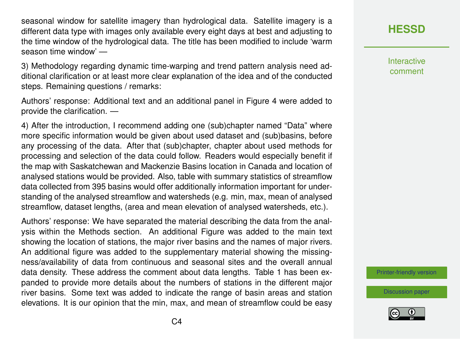seasonal window for satellite imagery than hydrological data. Satellite imagery is a different data type with images only available every eight days at best and adjusting to the time window of the hydrological data. The title has been modified to include 'warm season time window' —

3) Methodology regarding dynamic time-warping and trend pattern analysis need additional clarification or at least more clear explanation of the idea and of the conducted steps. Remaining questions / remarks:

Authors' response: Additional text and an additional panel in Figure 4 were added to provide the clarification. —

4) After the introduction, I recommend adding one (sub)chapter named "Data" where more specific information would be given about used dataset and (sub)basins, before any processing of the data. After that (sub)chapter, chapter about used methods for processing and selection of the data could follow. Readers would especially benefit if the map with Saskatchewan and Mackenzie Basins location in Canada and location of analysed stations would be provided. Also, table with summary statistics of streamflow data collected from 395 basins would offer additionally information important for understanding of the analysed streamflow and watersheds (e.g. min, max, mean of analysed streamflow, dataset lengths, (area and mean elevation of analysed watersheds, etc.).

Authors' response: We have separated the material describing the data from the analysis within the Methods section. An additional Figure was added to the main text showing the location of stations, the major river basins and the names of major rivers. An additional figure was added to the supplementary material showing the missingness/availability of data from continuous and seasonal sites and the overall annual data density. These address the comment about data lengths. Table 1 has been expanded to provide more details about the numbers of stations in the different major river basins. Some text was added to indicate the range of basin areas and station elevations. It is our opinion that the min, max, and mean of streamflow could be easy

# **[HESSD](https://www.hydrol-earth-syst-sci-discuss.net/)**

**Interactive** comment

[Printer-friendly version](https://www.hydrol-earth-syst-sci-discuss.net/hess-2019-671/hess-2019-671-AC2-print.pdf)

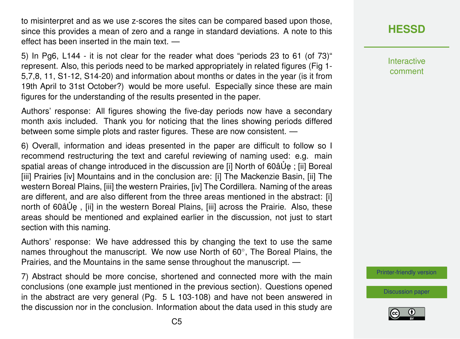to misinterpret and as we use z-scores the sites can be compared based upon those, since this provides a mean of zero and a range in standard deviations. A note to this effect has been inserted in the main text. —

5) In Pg6, L144 - it is not clear for the reader what does "periods 23 to 61 (of 73)" represent. Also, this periods need to be marked appropriately in related figures (Fig 1- 5,7,8, 11, S1-12, S14-20) and information about months or dates in the year (is it from 19th April to 31st October?) would be more useful. Especially since these are main figures for the understanding of the results presented in the paper.

Authors' response: All figures showing the five-day periods now have a secondary month axis included. Thank you for noticing that the lines showing periods differed between some simple plots and raster figures. These are now consistent. —

6) Overall, information and ideas presented in the paper are difficult to follow so I recommend restructuring the text and careful reviewing of naming used: e.g. main spatial areas of change introduced in the discussion are [i] North of 60â Up ; [ii] Boreal [iii] Prairies [iv] Mountains and in the conclusion are: [i] The Mackenzie Basin, [ii] The western Boreal Plains, [iii] the western Prairies, [iv] The Cordillera. Naming of the areas are different, and are also different from the three areas mentioned in the abstract: [i] north of 60â Ue, [ii] in the western Boreal Plains, [iii] across the Prairie. Also, these areas should be mentioned and explained earlier in the discussion, not just to start section with this naming.

Authors' response: We have addressed this by changing the text to use the same names throughout the manuscript. We now use North of 60°, The Boreal Plains, the Prairies, and the Mountains in the same sense throughout the manuscript. —

7) Abstract should be more concise, shortened and connected more with the main conclusions (one example just mentioned in the previous section). Questions opened in the abstract are very general (Pg. 5 L 103-108) and have not been answered in the discussion nor in the conclusion. Information about the data used in this study are **[HESSD](https://www.hydrol-earth-syst-sci-discuss.net/)**

Interactive comment

[Printer-friendly version](https://www.hydrol-earth-syst-sci-discuss.net/hess-2019-671/hess-2019-671-AC2-print.pdf)

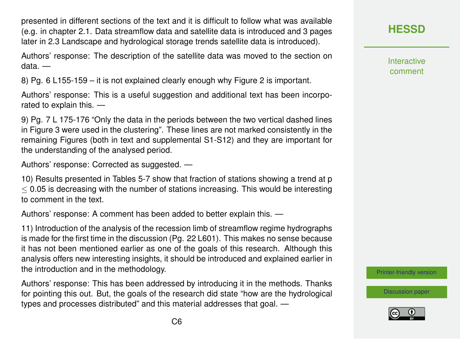presented in different sections of the text and it is difficult to follow what was available (e.g. in chapter 2.1. Data streamflow data and satellite data is introduced and 3 pages later in 2.3 Landscape and hydrological storage trends satellite data is introduced).

Authors' response: The description of the satellite data was moved to the section on data. —

8) Pg. 6 L155-159 – it is not explained clearly enough why Figure 2 is important.

Authors' response: This is a useful suggestion and additional text has been incorporated to explain this. —

9) Pg. 7 L 175-176 "Only the data in the periods between the two vertical dashed lines in Figure 3 were used in the clustering". These lines are not marked consistently in the remaining Figures (both in text and supplemental S1-S12) and they are important for the understanding of the analysed period.

Authors' response: Corrected as suggested. —

10) Results presented in Tables 5-7 show that fraction of stations showing a trend at p  $<$  0.05 is decreasing with the number of stations increasing. This would be interesting to comment in the text.

Authors' response: A comment has been added to better explain this. —

11) Introduction of the analysis of the recession limb of streamflow regime hydrographs is made for the first time in the discussion (Pg. 22 L601). This makes no sense because it has not been mentioned earlier as one of the goals of this research. Although this analysis offers new interesting insights, it should be introduced and explained earlier in the introduction and in the methodology.

Authors' response: This has been addressed by introducing it in the methods. Thanks for pointing this out. But, the goals of the research did state "how are the hydrological types and processes distributed" and this material addresses that goal. —

**[HESSD](https://www.hydrol-earth-syst-sci-discuss.net/)**

Interactive comment

[Printer-friendly version](https://www.hydrol-earth-syst-sci-discuss.net/hess-2019-671/hess-2019-671-AC2-print.pdf)

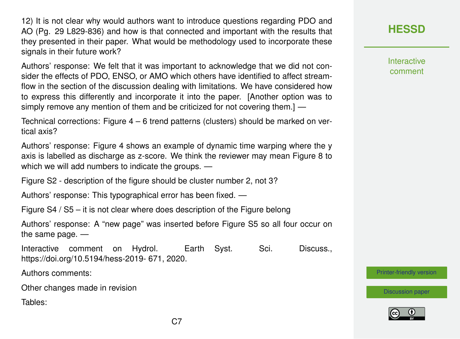12) It is not clear why would authors want to introduce questions regarding PDO and AO (Pg. 29 L829-836) and how is that connected and important with the results that they presented in their paper. What would be methodology used to incorporate these signals in their future work?

Authors' response: We felt that it was important to acknowledge that we did not consider the effects of PDO, ENSO, or AMO which others have identified to affect streamflow in the section of the discussion dealing with limitations. We have considered how to express this differently and incorporate it into the paper. [Another option was to simply remove any mention of them and be criticized for not covering them.] —

Technical corrections: Figure 4 – 6 trend patterns (clusters) should be marked on vertical axis?

Authors' response: Figure 4 shows an example of dynamic time warping where the y axis is labelled as discharge as z-score. We think the reviewer may mean Figure 8 to which we will add numbers to indicate the groups. —

Figure S2 - description of the figure should be cluster number 2, not 3?

Authors' response: This typographical error has been fixed. —

Figure S4 / S5 – it is not clear where does description of the Figure belong

Authors' response: A "new page" was inserted before Figure S5 so all four occur on the same page. —

Interactive comment on Hydrol. Earth Syst. Sci. Discuss., https://doi.org/10.5194/hess-2019- 671, 2020.

Authors comments:

Other changes made in revision

Tables:

# **[HESSD](https://www.hydrol-earth-syst-sci-discuss.net/)**

**Interactive** comment

[Printer-friendly version](https://www.hydrol-earth-syst-sci-discuss.net/hess-2019-671/hess-2019-671-AC2-print.pdf)

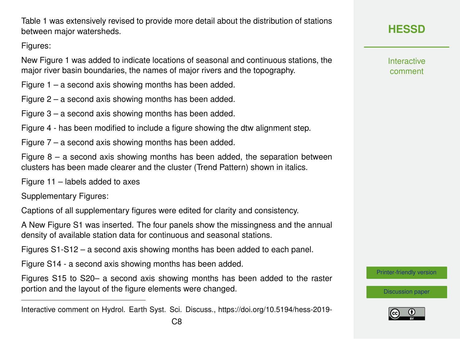Table 1 was extensively revised to provide more detail about the distribution of stations between major watersheds.

Figures:

New Figure 1 was added to indicate locations of seasonal and continuous stations, the major river basin boundaries, the names of major rivers and the topography.

Figure 1 – a second axis showing months has been added.

Figure 2 – a second axis showing months has been added.

Figure 3 – a second axis showing months has been added.

Figure 4 - has been modified to include a figure showing the dtw alignment step.

Figure 7 – a second axis showing months has been added.

Figure  $8 - a$  second axis showing months has been added, the separation between clusters has been made clearer and the cluster (Trend Pattern) shown in italics.

Figure 11 – labels added to axes

Supplementary Figures:

Captions of all supplementary figures were edited for clarity and consistency.

A New Figure S1 was inserted. The four panels show the missingness and the annual density of available station data for continuous and seasonal stations.

Figures S1-S12 – a second axis showing months has been added to each panel.

Figure S14 - a second axis showing months has been added.

Figures S15 to S20– a second axis showing months has been added to the raster portion and the layout of the figure elements were changed.

**Interactive** comment

[Printer-friendly version](https://www.hydrol-earth-syst-sci-discuss.net/hess-2019-671/hess-2019-671-AC2-print.pdf)



Interactive comment on Hydrol. Earth Syst. Sci. Discuss., https://doi.org/10.5194/hess-2019-